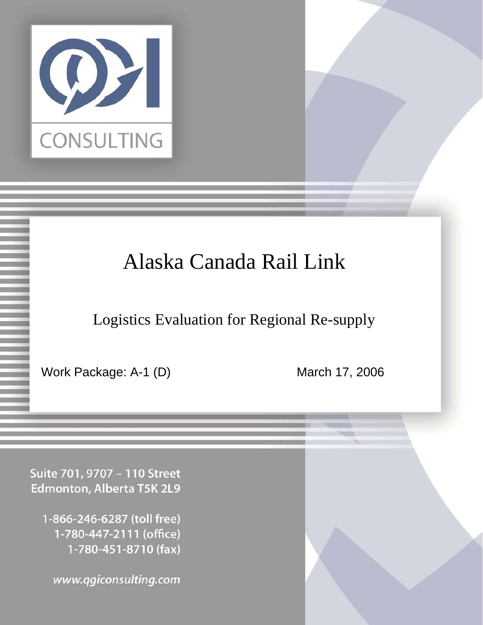

# Alaska Canada Rail Link

Logistics Evaluation for Regional Re-supply

Confidential Page 1 3/18/2006

Work Package: A-1 (D) March 17, 2006

Suite 701, 9707 - 110 Street Edmonton, Alberta T5K 2L9

1-866-246-6287 (toll free) 1-780-447-2111 (office) 1-780-451-8710 (fax)

www.qgiconsulting.com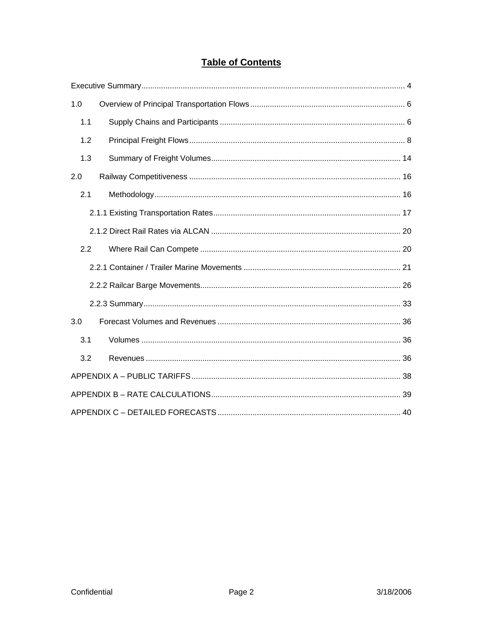### **Table of Contents**

| 1.0 |  |
|-----|--|
| 1.1 |  |
| 1.2 |  |
| 1.3 |  |
| 2.0 |  |
| 2.1 |  |
|     |  |
|     |  |
| 2.2 |  |
|     |  |
|     |  |
|     |  |
| 3.0 |  |
| 3.1 |  |
| 3.2 |  |
|     |  |
|     |  |
|     |  |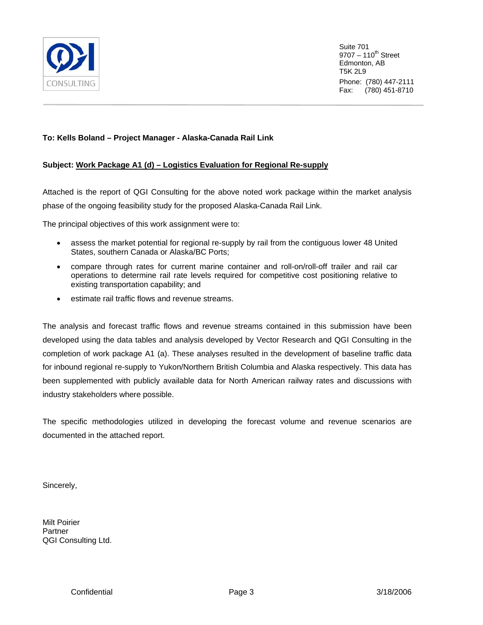

#### **To: Kells Boland – Project Manager - Alaska-Canada Rail Link**

#### **Subject: Work Package A1 (d) – Logistics Evaluation for Regional Re-supply**

Attached is the report of QGI Consulting for the above noted work package within the market analysis phase of the ongoing feasibility study for the proposed Alaska-Canada Rail Link.

The principal objectives of this work assignment were to:

- assess the market potential for regional re-supply by rail from the contiguous lower 48 United States, southern Canada or Alaska/BC Ports;
- compare through rates for current marine container and roll-on/roll-off trailer and rail car operations to determine rail rate levels required for competitive cost positioning relative to existing transportation capability; and
- estimate rail traffic flows and revenue streams.

The analysis and forecast traffic flows and revenue streams contained in this submission have been developed using the data tables and analysis developed by Vector Research and QGI Consulting in the completion of work package A1 (a). These analyses resulted in the development of baseline traffic data for inbound regional re-supply to Yukon/Northern British Columbia and Alaska respectively. This data has been supplemented with publicly available data for North American railway rates and discussions with industry stakeholders where possible.

The specific methodologies utilized in developing the forecast volume and revenue scenarios are documented in the attached report.

Sincerely,

Milt Poirier Partner QGI Consulting Ltd.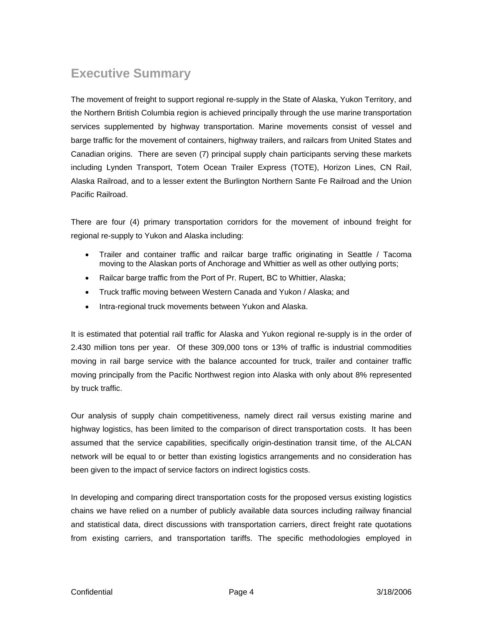### <span id="page-3-0"></span>**Executive Summary**

The movement of freight to support regional re-supply in the State of Alaska, Yukon Territory, and the Northern British Columbia region is achieved principally through the use marine transportation services supplemented by highway transportation. Marine movements consist of vessel and barge traffic for the movement of containers, highway trailers, and railcars from United States and Canadian origins. There are seven (7) principal supply chain participants serving these markets including Lynden Transport, Totem Ocean Trailer Express (TOTE), Horizon Lines, CN Rail, Alaska Railroad, and to a lesser extent the Burlington Northern Sante Fe Railroad and the Union Pacific Railroad.

There are four (4) primary transportation corridors for the movement of inbound freight for regional re-supply to Yukon and Alaska including:

- Trailer and container traffic and railcar barge traffic originating in Seattle / Tacoma moving to the Alaskan ports of Anchorage and Whittier as well as other outlying ports;
- Railcar barge traffic from the Port of Pr. Rupert, BC to Whittier, Alaska;
- Truck traffic moving between Western Canada and Yukon / Alaska; and
- Intra-regional truck movements between Yukon and Alaska.

It is estimated that potential rail traffic for Alaska and Yukon regional re-supply is in the order of 2.430 million tons per year. Of these 309,000 tons or 13% of traffic is industrial commodities moving in rail barge service with the balance accounted for truck, trailer and container traffic moving principally from the Pacific Northwest region into Alaska with only about 8% represented by truck traffic.

Our analysis of supply chain competitiveness, namely direct rail versus existing marine and highway logistics, has been limited to the comparison of direct transportation costs. It has been assumed that the service capabilities, specifically origin-destination transit time, of the ALCAN network will be equal to or better than existing logistics arrangements and no consideration has been given to the impact of service factors on indirect logistics costs.

In developing and comparing direct transportation costs for the proposed versus existing logistics chains we have relied on a number of publicly available data sources including railway financial and statistical data, direct discussions with transportation carriers, direct freight rate quotations from existing carriers, and transportation tariffs. The specific methodologies employed in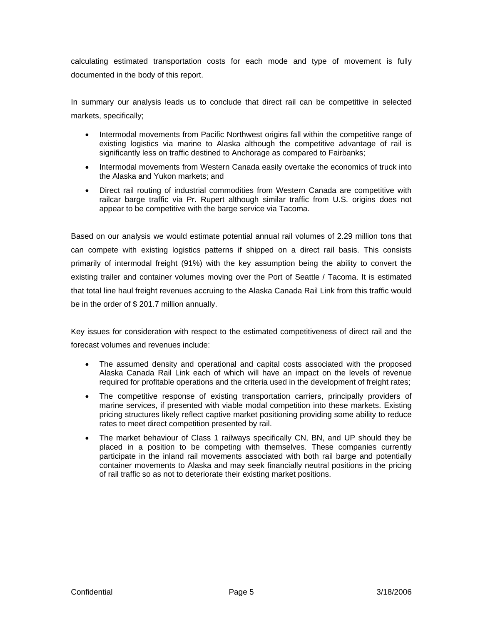calculating estimated transportation costs for each mode and type of movement is fully documented in the body of this report.

In summary our analysis leads us to conclude that direct rail can be competitive in selected markets, specifically;

- Intermodal movements from Pacific Northwest origins fall within the competitive range of existing logistics via marine to Alaska although the competitive advantage of rail is significantly less on traffic destined to Anchorage as compared to Fairbanks;
- Intermodal movements from Western Canada easily overtake the economics of truck into the Alaska and Yukon markets; and
- Direct rail routing of industrial commodities from Western Canada are competitive with railcar barge traffic via Pr. Rupert although similar traffic from U.S. origins does not appear to be competitive with the barge service via Tacoma.

Based on our analysis we would estimate potential annual rail volumes of 2.29 million tons that can compete with existing logistics patterns if shipped on a direct rail basis. This consists primarily of intermodal freight (91%) with the key assumption being the ability to convert the existing trailer and container volumes moving over the Port of Seattle / Tacoma. It is estimated that total line haul freight revenues accruing to the Alaska Canada Rail Link from this traffic would be in the order of \$ 201.7 million annually.

Key issues for consideration with respect to the estimated competitiveness of direct rail and the forecast volumes and revenues include:

- The assumed density and operational and capital costs associated with the proposed Alaska Canada Rail Link each of which will have an impact on the levels of revenue required for profitable operations and the criteria used in the development of freight rates;
- The competitive response of existing transportation carriers, principally providers of marine services, if presented with viable modal competition into these markets. Existing pricing structures likely reflect captive market positioning providing some ability to reduce rates to meet direct competition presented by rail.
- The market behaviour of Class 1 railways specifically CN, BN, and UP should they be placed in a position to be competing with themselves. These companies currently participate in the inland rail movements associated with both rail barge and potentially container movements to Alaska and may seek financially neutral positions in the pricing of rail traffic so as not to deteriorate their existing market positions.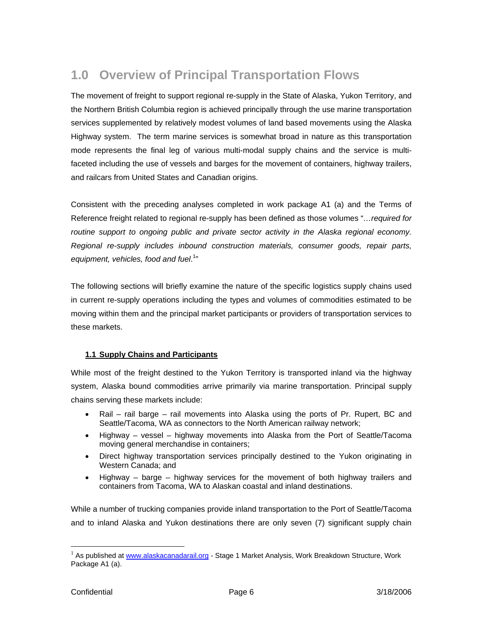## <span id="page-5-0"></span>**1.0 Overview of Principal Transportation Flows**

The movement of freight to support regional re-supply in the State of Alaska, Yukon Territory, and the Northern British Columbia region is achieved principally through the use marine transportation services supplemented by relatively modest volumes of land based movements using the Alaska Highway system. The term marine services is somewhat broad in nature as this transportation mode represents the final leg of various multi-modal supply chains and the service is multifaceted including the use of vessels and barges for the movement of containers, highway trailers, and railcars from United States and Canadian origins.

Consistent with the preceding analyses completed in work package A1 (a) and the Terms of Reference freight related to regional re-supply has been defined as those volumes "*…required for routine support to ongoing public and private sector activity in the Alaska regional economy. Regional re-supply includes inbound construction materials, consumer goods, repair parts,* equipment, vehicles, food and fuel.<sup>[1](#page-5-1)</sup>"

The following sections will briefly examine the nature of the specific logistics supply chains used in current re-supply operations including the types and volumes of commodities estimated to be moving within them and the principal market participants or providers of transportation services to these markets.

#### **1.1 Supply Chains and Participants**

While most of the freight destined to the Yukon Territory is transported inland via the highway system, Alaska bound commodities arrive primarily via marine transportation. Principal supply chains serving these markets include:

- Rail rail barge rail movements into Alaska using the ports of Pr. Rupert, BC and Seattle/Tacoma, WA as connectors to the North American railway network;
- Highway vessel highway movements into Alaska from the Port of Seattle/Tacoma moving general merchandise in containers;
- Direct highway transportation services principally destined to the Yukon originating in Western Canada; and
- Highway barge highway services for the movement of both highway trailers and containers from Tacoma, WA to Alaskan coastal and inland destinations.

While a number of trucking companies provide inland transportation to the Port of Seattle/Tacoma and to inland Alaska and Yukon destinations there are only seven (7) significant supply chain

 $\overline{a}$ 

<span id="page-5-1"></span><sup>&</sup>lt;sup>1</sup> As published at [www.alaskacanadarail.org](http://www.alaskacanadarail.org/) - Stage 1 Market Analysis, Work Breakdown Structure, Work Package A1 (a).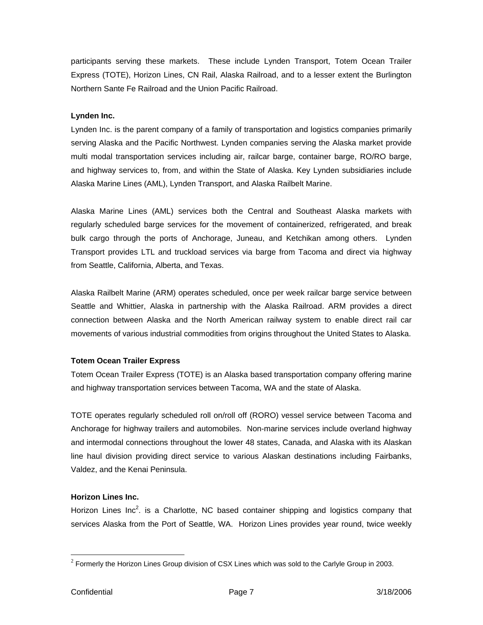participants serving these markets. These include Lynden Transport, Totem Ocean Trailer Express (TOTE), Horizon Lines, CN Rail, Alaska Railroad, and to a lesser extent the Burlington Northern Sante Fe Railroad and the Union Pacific Railroad.

#### **Lynden Inc.**

Lynden Inc. is the parent company of a family of transportation and logistics companies primarily serving Alaska and the Pacific Northwest. Lynden companies serving the Alaska market provide multi modal transportation services including air, railcar barge, container barge, RO/RO barge, and highway services to, from, and within the State of Alaska. Key Lynden subsidiaries include Alaska Marine Lines (AML), Lynden Transport, and Alaska Railbelt Marine.

Alaska Marine Lines (AML) services both the Central and Southeast Alaska markets with regularly scheduled barge services for the movement of containerized, refrigerated, and break bulk cargo through the ports of Anchorage, Juneau, and Ketchikan among others. Lynden Transport provides LTL and truckload services via barge from Tacoma and direct via highway from Seattle, California, Alberta, and Texas.

Alaska Railbelt Marine (ARM) operates scheduled, once per week railcar barge service between Seattle and Whittier, Alaska in partnership with the Alaska Railroad. ARM provides a direct connection between Alaska and the North American railway system to enable direct rail car movements of various industrial commodities from origins throughout the United States to Alaska.

#### **Totem Ocean Trailer Express**

Totem Ocean Trailer Express (TOTE) is an Alaska based transportation company offering marine and highway transportation services between Tacoma, WA and the state of Alaska.

TOTE operates regularly scheduled roll on/roll off (RORO) vessel service between Tacoma and Anchorage for highway trailers and automobiles. Non-marine services include overland highway and intermodal connections throughout the lower 48 states, Canada, and Alaska with its Alaskan line haul division providing direct service to various Alaskan destinations including Fairbanks, Valdez, and the Kenai Peninsula.

#### **Horizon Lines Inc.**

Horizon Lines Inc<sup>2</sup>. is a Charlotte, NC based container shipping and logistics company that services Alaska from the Port of Seattle, WA. Horizon Lines provides year round, twice weekly

 $\overline{a}$ 

<span id="page-6-0"></span> $2$  Formerly the Horizon Lines Group division of CSX Lines which was sold to the Carlyle Group in 2003.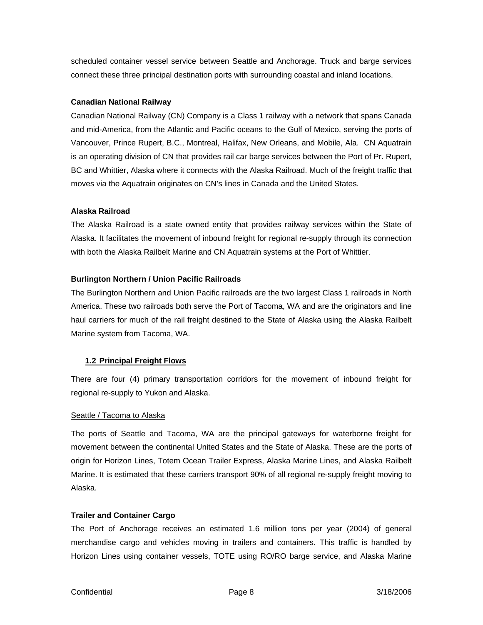<span id="page-7-0"></span>scheduled container vessel service between Seattle and Anchorage. Truck and barge services connect these three principal destination ports with surrounding coastal and inland locations.

#### **Canadian National Railway**

Canadian National Railway (CN) Company is a Class 1 railway with a network that spans Canada and mid-America, from the Atlantic and Pacific oceans to the Gulf of Mexico, serving the ports of Vancouver, Prince Rupert, B.C., Montreal, Halifax, New Orleans, and Mobile, Ala. CN Aquatrain is an operating division of CN that provides rail car barge services between the Port of Pr. Rupert, BC and Whittier, Alaska where it connects with the Alaska Railroad. Much of the freight traffic that moves via the Aquatrain originates on CN's lines in Canada and the United States.

#### **Alaska Railroad**

The Alaska Railroad is a state owned entity that provides railway services within the State of Alaska. It facilitates the movement of inbound freight for regional re-supply through its connection with both the Alaska Railbelt Marine and CN Aquatrain systems at the Port of Whittier.

#### **Burlington Northern / Union Pacific Railroads**

The Burlington Northern and Union Pacific railroads are the two largest Class 1 railroads in North America. These two railroads both serve the Port of Tacoma, WA and are the originators and line haul carriers for much of the rail freight destined to the State of Alaska using the Alaska Railbelt Marine system from Tacoma, WA.

#### **1.2 Principal Freight Flows**

There are four (4) primary transportation corridors for the movement of inbound freight for regional re-supply to Yukon and Alaska.

#### Seattle / Tacoma to Alaska

The ports of Seattle and Tacoma, WA are the principal gateways for waterborne freight for movement between the continental United States and the State of Alaska. These are the ports of origin for Horizon Lines, Totem Ocean Trailer Express, Alaska Marine Lines, and Alaska Railbelt Marine. It is estimated that these carriers transport 90% of all regional re-supply freight moving to Alaska.

#### **Trailer and Container Cargo**

The Port of Anchorage receives an estimated 1.6 million tons per year (2004) of general merchandise cargo and vehicles moving in trailers and containers. This traffic is handled by Horizon Lines using container vessels, TOTE using RO/RO barge service, and Alaska Marine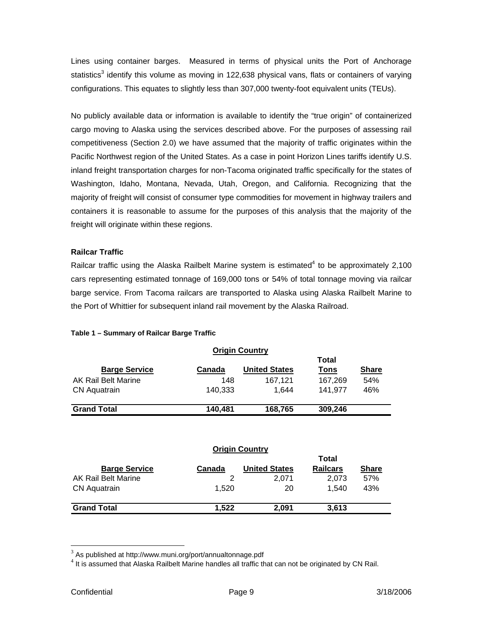Lines using container barges. Measured in terms of physical units the Port of Anchorage statistics<sup>[3](#page-8-0)</sup> identify this volume as moving in 122,638 physical vans, flats or containers of varying configurations. This equates to slightly less than 307,000 twenty-foot equivalent units (TEUs).

No publicly available data or information is available to identify the "true origin" of containerized cargo moving to Alaska using the services described above. For the purposes of assessing rail competitiveness (Section 2.0) we have assumed that the majority of traffic originates within the Pacific Northwest region of the United States. As a case in point Horizon Lines tariffs identify U.S. inland freight transportation charges for non-Tacoma originated traffic specifically for the states of Washington, Idaho, Montana, Nevada, Utah, Oregon, and California. Recognizing that the majority of freight will consist of consumer type commodities for movement in highway trailers and containers it is reasonable to assume for the purposes of this analysis that the majority of the freight will originate within these regions.

#### **Railcar Traffic**

Railcar traffic using the Alaska Railbelt Marine system is estimated<sup>[4](#page-8-1)</sup> to be approximately 2,100 cars representing estimated tonnage of 169,000 tons or 54% of total tonnage moving via railcar barge service. From Tacoma railcars are transported to Alaska using Alaska Railbelt Marine to the Port of Whittier for subsequent inland rail movement by the Alaska Railroad.

|                      |         | <b>Origin Country</b> |         |              |
|----------------------|---------|-----------------------|---------|--------------|
|                      |         |                       | Total   |              |
| <b>Barge Service</b> | Canada  | <b>United States</b>  | Tons    | <b>Share</b> |
| AK Rail Belt Marine  | 148     | 167.121               | 167,269 | 54%          |
| <b>CN Aquatrain</b>  | 140,333 | 1.644                 | 141.977 | 46%          |
| <b>Grand Total</b>   | 140.481 | 168,765               | 309,246 |              |
|                      |         |                       |         |              |

#### **Table 1 – Summary of Railcar Barge Traffic**

| <b>Origin Country</b> |        |                      |                 |              |  |
|-----------------------|--------|----------------------|-----------------|--------------|--|
| <b>Total</b>          |        |                      |                 |              |  |
| <b>Barge Service</b>  | Canada | <b>United States</b> | <b>Railcars</b> | <b>Share</b> |  |
| AK Rail Belt Marine   | 2      | 2.071                | 2.073           | 57%          |  |
| <b>CN Aquatrain</b>   | 1.520  | 20                   | 1.540           | 43%          |  |
| <b>Grand Total</b>    | 1.522  | 2.091                | 3,613           |              |  |

 $\overline{a}$ 

<span id="page-8-0"></span> $3$  As published at http://www.muni.org/port/annualtonnage.pdf

<span id="page-8-1"></span> $4$  It is assumed that Alaska Railbelt Marine handles all traffic that can not be originated by CN Rail.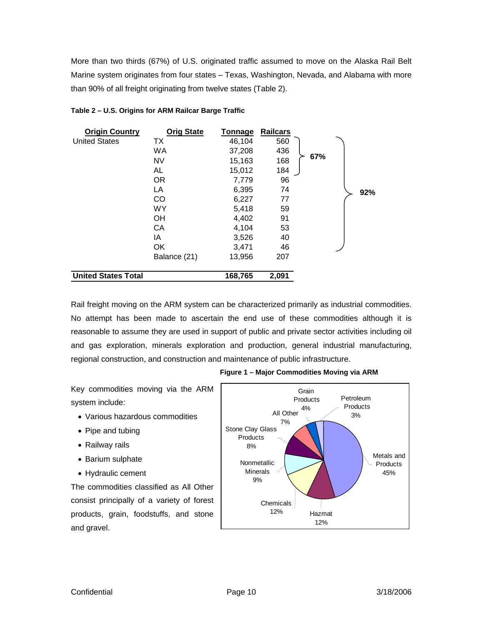More than two thirds (67%) of U.S. originated traffic assumed to move on the Alaska Rail Belt Marine system originates from four states – Texas, Washington, Nevada, and Alabama with more than 90% of all freight originating from twelve states (Table 2).

| <b>Origin Country</b>      | <b>Orig State</b> | Tonnage | <b>Railcars</b> |     |     |
|----------------------------|-------------------|---------|-----------------|-----|-----|
| <b>United States</b>       | ТX                | 46,104  | 560             |     |     |
|                            | <b>WA</b>         | 37,208  | 436             |     |     |
|                            | <b>NV</b>         | 15,163  | 168             | 67% |     |
|                            | AL                | 15,012  | 184             |     |     |
|                            | <b>OR</b>         | 7,779   | 96              |     |     |
|                            | LA                | 6,395   | 74              |     | 92% |
|                            | CO                | 6,227   | 77              |     |     |
|                            | <b>WY</b>         | 5,418   | 59              |     |     |
|                            | OH                | 4,402   | 91              |     |     |
|                            | CA                | 4,104   | 53              |     |     |
|                            | IA                | 3,526   | 40              |     |     |
|                            | <b>OK</b>         | 3,471   | 46              |     |     |
|                            | Balance (21)      | 13,956  | 207             |     |     |
| <b>United States Total</b> |                   | 168,765 | 2,091           |     |     |

#### **Table 2 – U.S. Origins for ARM Railcar Barge Traffic**

Rail freight moving on the ARM system can be characterized primarily as industrial commodities. No attempt has been made to ascertain the end use of these commodities although it is reasonable to assume they are used in support of public and private sector activities including oil and gas exploration, minerals exploration and production, general industrial manufacturing, regional construction, and construction and maintenance of public infrastructure.

Key commodities moving via the ARM system include:

- Various hazardous commodities
- Pipe and tubing
- Railway rails
- Barium sulphate
- Hydraulic cement

The commodities classified as All Other consist principally of a variety of forest products, grain, foodstuffs, and stone and gravel.



**Figure 1 – Major Commodities Moving via ARM**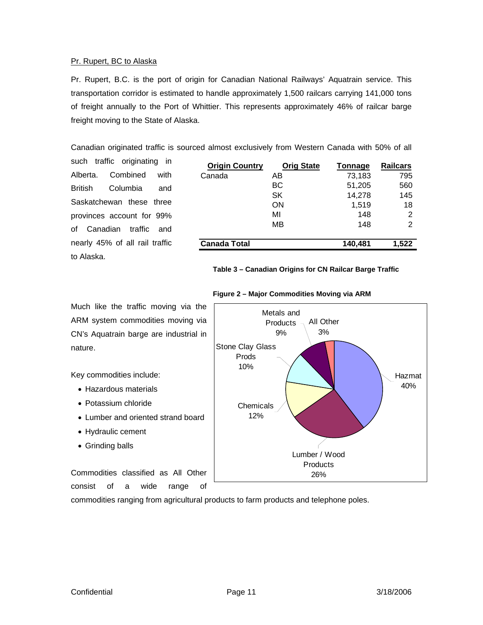#### Pr. Rupert, BC to Alaska

Pr. Rupert, B.C. is the port of origin for Canadian National Railways' Aquatrain service. This transportation corridor is estimated to handle approximately 1,500 railcars carrying 141,000 tons of freight annually to the Port of Whittier. This represents approximately 46% of railcar barge freight moving to the State of Alaska.

Canadian originated traffic is sourced almost exclusively from Western Canada with 50% of all

such traffic originating in Alberta. Combined with British Columbia and Saskatchewan these three provinces account for 99% of Canadian traffic and nearly 45% of all rail traffic to Alaska.

| <b>Origin Country</b> | <b>Orig State</b> | <b>Tonnage</b> | <b>Railcars</b> |
|-----------------------|-------------------|----------------|-----------------|
| Canada                | AΒ                | 73,183         | 795             |
|                       | BС                | 51,205         | 560             |
|                       | SK                | 14,278         | 145             |
|                       | ON                | 1,519          | 18              |
|                       | MI                | 148            | 2               |
|                       | MВ                | 148            | 2               |
|                       |                   |                |                 |
| <b>Canada Total</b>   |                   | 140,481        | 1.522           |

#### **Table 3 – Canadian Origins for CN Railcar Barge Traffic**



**Figure 2 – Major Commodities Moving via ARM**

commodities ranging from agricultural products to farm products and telephone poles.

Much like the traffic moving via the ARM system commodities moving via CN's Aquatrain barge are industrial in nature.

Key commodities include:

- Hazardous materials
- Potassium chloride
- Lumber and oriented strand board
- Hydraulic cement
- Grinding balls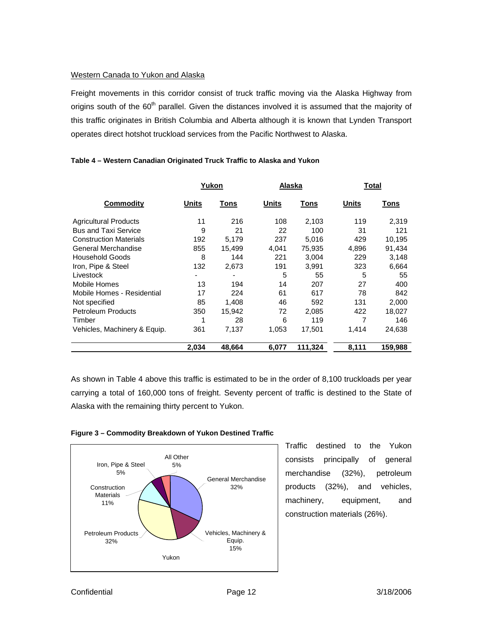#### Western Canada to Yukon and Alaska

Freight movements in this corridor consist of truck traffic moving via the Alaska Highway from origins south of the 60<sup>th</sup> parallel. Given the distances involved it is assumed that the majority of this traffic originates in British Columbia and Alberta although it is known that Lynden Transport operates direct hotshot truckload services from the Pacific Northwest to Alaska.

|                               | Yukon        |        | Alaska |         | Total |         |
|-------------------------------|--------------|--------|--------|---------|-------|---------|
| Commodity                     | <b>Units</b> | Tons   | Units  | Tons    | Units | Tons    |
| <b>Agricultural Products</b>  | 11           | 216    | 108    | 2,103   | 119   | 2,319   |
| <b>Bus and Taxi Service</b>   | 9            | 21     | 22     | 100     | 31    | 121     |
| <b>Construction Materials</b> | 192          | 5.179  | 237    | 5,016   | 429   | 10,195  |
| General Merchandise           | 855          | 15,499 | 4,041  | 75,935  | 4,896 | 91,434  |
| <b>Household Goods</b>        | 8            | 144    | 221    | 3,004   | 229   | 3,148   |
| Iron, Pipe & Steel            | 132          | 2,673  | 191    | 3,991   | 323   | 6,664   |
| Livestock                     |              |        | 5      | 55      | 5     | 55      |
| Mobile Homes                  | 13           | 194    | 14     | 207     | 27    | 400     |
| Mobile Homes - Residential    | 17           | 224    | 61     | 617     | 78    | 842     |
| Not specified                 | 85           | 1,408  | 46     | 592     | 131   | 2,000   |
| <b>Petroleum Products</b>     | 350          | 15,942 | 72     | 2,085   | 422   | 18,027  |
| Timber                        | 1            | 28     | 6      | 119     | 7     | 146     |
| Vehicles, Machinery & Equip.  | 361          | 7,137  | 1,053  | 17,501  | 1.414 | 24,638  |
|                               | 2,034        | 48.664 | 6,077  | 111,324 | 8,111 | 159.988 |

#### **Table 4 – Western Canadian Originated Truck Traffic to Alaska and Yukon**

As shown in Table 4 above this traffic is estimated to be in the order of 8,100 truckloads per year carrying a total of 160,000 tons of freight. Seventy percent of traffic is destined to the State of Alaska with the remaining thirty percent to Yukon.





Traffic destined to the Yukon consists principally of general merchandise (32%), petroleum products (32%), and vehicles, machinery, equipment, and construction materials (26%).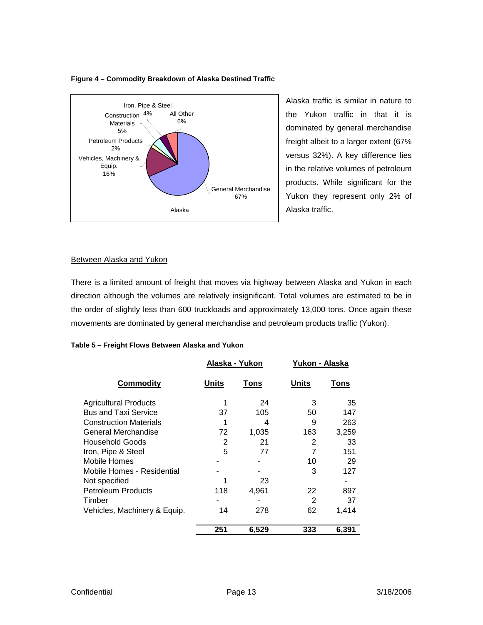



Alaska traffic is similar in nature to the Yukon traffic in that it is dominated by general merchandise freight albeit to a larger extent (67% versus 32%). A key difference lies in the relative volumes of petroleum products. While significant for the Yukon they represent only 2% of Alaska traffic.

#### Between Alaska and Yukon

There is a limited amount of freight that moves via highway between Alaska and Yukon in each direction although the volumes are relatively insignificant. Total volumes are estimated to be in the order of slightly less than 600 truckloads and approximately 13,000 tons. Once again these movements are dominated by general merchandise and petroleum products traffic (Yukon).

| Table 5 – Freight Flows Between Alaska and Yukon |                |       |                |       |  |
|--------------------------------------------------|----------------|-------|----------------|-------|--|
|                                                  | Alaska - Yukon |       | Yukon - Alaska |       |  |
| <b>Commodity</b>                                 | Units          | Tons  | Units          | Tons  |  |
| <b>Agricultural Products</b>                     | 1              | 24    | 3              | 35    |  |
| <b>Bus and Taxi Service</b>                      | 37             | 105   | 50             | 147   |  |
| <b>Construction Materials</b>                    | 1              | 4     | 9              | 263   |  |
| General Merchandise                              | 72             | 1,035 | 163            | 3,259 |  |
| <b>Household Goods</b>                           | 2              | 21    | 2              | 33    |  |
| Iron, Pipe & Steel                               | 5              | 77    | 7              | 151   |  |
| Mobile Homes                                     |                |       | 10             | 29    |  |
| Mobile Homes - Residential                       |                |       | 3              | 127   |  |
| Not specified                                    |                | 23    |                |       |  |
| <b>Petroleum Products</b>                        | 118            | 4,961 | 22             | 897   |  |
| Timber                                           |                |       | 2              | 37    |  |
| Vehicles, Machinery & Equip.                     | 14             | 278   | 62             | 1,414 |  |
|                                                  | 251            | 6,529 | 333            | 6,391 |  |

| Table 5 – Freight Flows Between Alaska and Yukon |  |  |  |
|--------------------------------------------------|--|--|--|
|                                                  |  |  |  |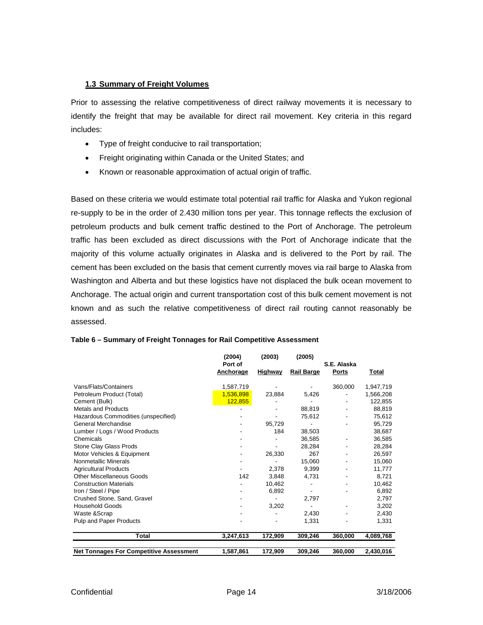#### <span id="page-13-0"></span>**1.3 Summary of Freight Volumes**

Prior to assessing the relative competitiveness of direct railway movements it is necessary to identify the freight that may be available for direct rail movement. Key criteria in this regard includes:

- Type of freight conducive to rail transportation;
- Freight originating within Canada or the United States; and
- Known or reasonable approximation of actual origin of traffic.

Based on these criteria we would estimate total potential rail traffic for Alaska and Yukon regional re-supply to be in the order of 2.430 million tons per year. This tonnage reflects the exclusion of petroleum products and bulk cement traffic destined to the Port of Anchorage. The petroleum traffic has been excluded as direct discussions with the Port of Anchorage indicate that the majority of this volume actually originates in Alaska and is delivered to the Port by rail. The cement has been excluded on the basis that cement currently moves via rail barge to Alaska from Washington and Alberta and but these logistics have not displaced the bulk ocean movement to Anchorage. The actual origin and current transportation cost of this bulk cement movement is not known and as such the relative competitiveness of direct rail routing cannot reasonably be assessed.

|                                                | (2004)               | (2003)         | (2005)            |                             |           |
|------------------------------------------------|----------------------|----------------|-------------------|-----------------------------|-----------|
|                                                | Port of<br>Anchorage | <b>Highway</b> | <b>Rail Barge</b> | S.E. Alaska<br><b>Ports</b> | Total     |
| Vans/Flats/Containers                          | 1,587,719            |                |                   | 360,000                     | 1,947,719 |
| Petroleum Product (Total)                      | 1,536,898            | 23,884         | 5,426             |                             | 1,566,208 |
| Cement (Bulk)                                  | 122,855              |                |                   |                             | 122,855   |
| <b>Metals and Products</b>                     |                      |                | 88,819            |                             | 88,819    |
| Hazardous Commodities (unspecified)            |                      |                | 75,612            |                             | 75,612    |
| General Merchandise                            |                      | 95,729         |                   |                             | 95,729    |
| Lumber / Logs / Wood Products                  |                      | 184            | 38,503            |                             | 38,687    |
| Chemicals                                      |                      |                | 36.585            |                             | 36,585    |
| Stone Clay Glass Prods                         |                      |                | 28,284            |                             | 28,284    |
| Motor Vehicles & Equipment                     |                      | 26,330         | 267               |                             | 26,597    |
| Nonmetallic Minerals                           |                      |                | 15,060            |                             | 15,060    |
| <b>Agricultural Products</b>                   |                      | 2,378          | 9,399             |                             | 11,777    |
| Other Miscellaneous Goods                      | 142                  | 3,848          | 4,731             |                             | 8.721     |
| <b>Construction Materials</b>                  |                      | 10,462         |                   |                             | 10,462    |
| Iron / Steel / Pipe                            |                      | 6,892          |                   |                             | 6,892     |
| Crushed Stone, Sand, Gravel                    |                      |                | 2,797             |                             | 2,797     |
| <b>Household Goods</b>                         |                      | 3,202          |                   |                             | 3,202     |
| Waste &Scrap                                   |                      |                | 2,430             |                             | 2,430     |
| Pulp and Paper Products                        |                      |                | 1,331             |                             | 1,331     |
| Total                                          | 3,247,613            | 172,909        | 309,246           | 360,000                     | 4,089,768 |
| <b>Net Tonnages For Competitive Assessment</b> | 1,587,861            | 172,909        | 309,246           | 360,000                     | 2,430,016 |

#### **Table 6 – Summary of Freight Tonnages for Rail Competitive Assessment**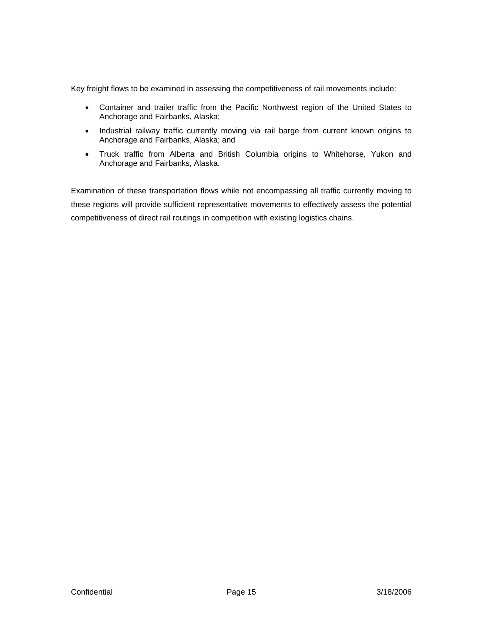Key freight flows to be examined in assessing the competitiveness of rail movements include:

- Container and trailer traffic from the Pacific Northwest region of the United States to Anchorage and Fairbanks, Alaska;
- Industrial railway traffic currently moving via rail barge from current known origins to Anchorage and Fairbanks, Alaska; and
- Truck traffic from Alberta and British Columbia origins to Whitehorse, Yukon and Anchorage and Fairbanks, Alaska.

Examination of these transportation flows while not encompassing all traffic currently moving to these regions will provide sufficient representative movements to effectively assess the potential competitiveness of direct rail routings in competition with existing logistics chains.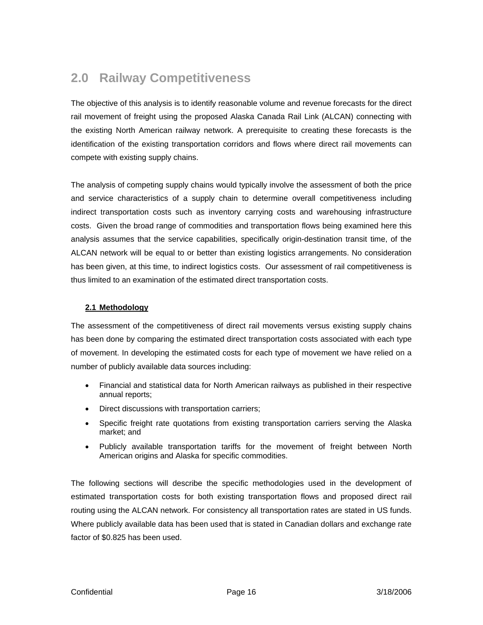### <span id="page-15-0"></span>**2.0 Railway Competitiveness**

The objective of this analysis is to identify reasonable volume and revenue forecasts for the direct rail movement of freight using the proposed Alaska Canada Rail Link (ALCAN) connecting with the existing North American railway network. A prerequisite to creating these forecasts is the identification of the existing transportation corridors and flows where direct rail movements can compete with existing supply chains.

The analysis of competing supply chains would typically involve the assessment of both the price and service characteristics of a supply chain to determine overall competitiveness including indirect transportation costs such as inventory carrying costs and warehousing infrastructure costs. Given the broad range of commodities and transportation flows being examined here this analysis assumes that the service capabilities, specifically origin-destination transit time, of the ALCAN network will be equal to or better than existing logistics arrangements. No consideration has been given, at this time, to indirect logistics costs. Our assessment of rail competitiveness is thus limited to an examination of the estimated direct transportation costs.

#### **2.1 Methodology**

The assessment of the competitiveness of direct rail movements versus existing supply chains has been done by comparing the estimated direct transportation costs associated with each type of movement. In developing the estimated costs for each type of movement we have relied on a number of publicly available data sources including:

- Financial and statistical data for North American railways as published in their respective annual reports;
- Direct discussions with transportation carriers;
- Specific freight rate quotations from existing transportation carriers serving the Alaska market; and
- Publicly available transportation tariffs for the movement of freight between North American origins and Alaska for specific commodities.

The following sections will describe the specific methodologies used in the development of estimated transportation costs for both existing transportation flows and proposed direct rail routing using the ALCAN network. For consistency all transportation rates are stated in US funds. Where publicly available data has been used that is stated in Canadian dollars and exchange rate factor of \$0.825 has been used.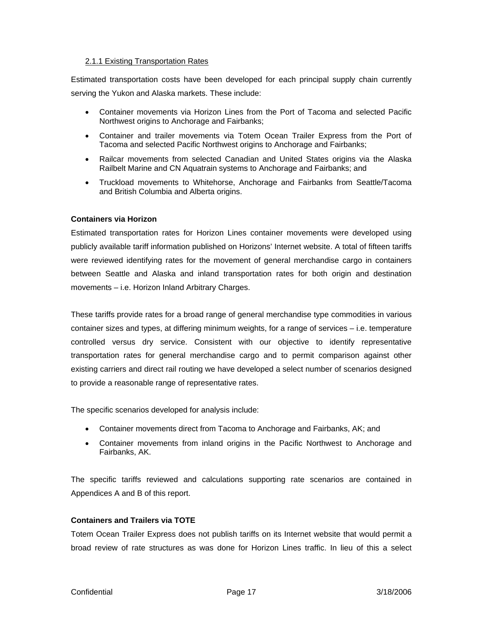#### <span id="page-16-0"></span>2.1.1 Existing Transportation Rates

Estimated transportation costs have been developed for each principal supply chain currently serving the Yukon and Alaska markets. These include:

- Container movements via Horizon Lines from the Port of Tacoma and selected Pacific Northwest origins to Anchorage and Fairbanks;
- Container and trailer movements via Totem Ocean Trailer Express from the Port of Tacoma and selected Pacific Northwest origins to Anchorage and Fairbanks;
- Railcar movements from selected Canadian and United States origins via the Alaska Railbelt Marine and CN Aquatrain systems to Anchorage and Fairbanks; and
- Truckload movements to Whitehorse, Anchorage and Fairbanks from Seattle/Tacoma and British Columbia and Alberta origins.

#### **Containers via Horizon**

Estimated transportation rates for Horizon Lines container movements were developed using publicly available tariff information published on Horizons' Internet website. A total of fifteen tariffs were reviewed identifying rates for the movement of general merchandise cargo in containers between Seattle and Alaska and inland transportation rates for both origin and destination movements – i.e. Horizon Inland Arbitrary Charges.

These tariffs provide rates for a broad range of general merchandise type commodities in various container sizes and types, at differing minimum weights, for a range of services – i.e. temperature controlled versus dry service. Consistent with our objective to identify representative transportation rates for general merchandise cargo and to permit comparison against other existing carriers and direct rail routing we have developed a select number of scenarios designed to provide a reasonable range of representative rates.

The specific scenarios developed for analysis include:

- Container movements direct from Tacoma to Anchorage and Fairbanks, AK; and
- Container movements from inland origins in the Pacific Northwest to Anchorage and Fairbanks, AK.

The specific tariffs reviewed and calculations supporting rate scenarios are contained in Appendices A and B of this report.

#### **Containers and Trailers via TOTE**

Totem Ocean Trailer Express does not publish tariffs on its Internet website that would permit a broad review of rate structures as was done for Horizon Lines traffic. In lieu of this a select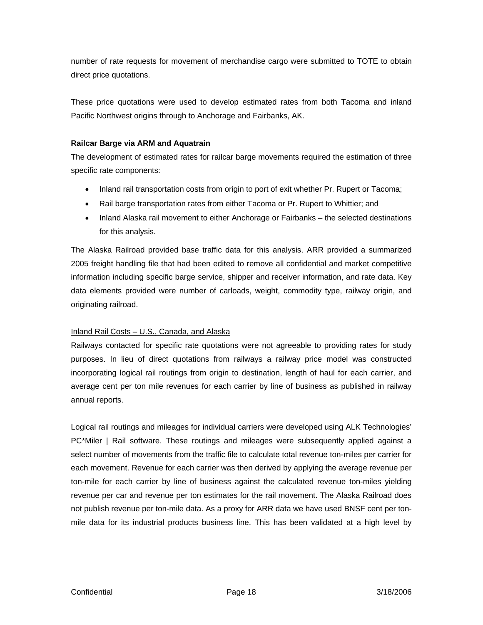number of rate requests for movement of merchandise cargo were submitted to TOTE to obtain direct price quotations.

These price quotations were used to develop estimated rates from both Tacoma and inland Pacific Northwest origins through to Anchorage and Fairbanks, AK.

#### **Railcar Barge via ARM and Aquatrain**

The development of estimated rates for railcar barge movements required the estimation of three specific rate components:

- Inland rail transportation costs from origin to port of exit whether Pr. Rupert or Tacoma;
- Rail barge transportation rates from either Tacoma or Pr. Rupert to Whittier; and
- Inland Alaska rail movement to either Anchorage or Fairbanks the selected destinations for this analysis.

The Alaska Railroad provided base traffic data for this analysis. ARR provided a summarized 2005 freight handling file that had been edited to remove all confidential and market competitive information including specific barge service, shipper and receiver information, and rate data. Key data elements provided were number of carloads, weight, commodity type, railway origin, and originating railroad.

### Inland Rail Costs – U.S., Canada, and Alaska

Railways contacted for specific rate quotations were not agreeable to providing rates for study purposes. In lieu of direct quotations from railways a railway price model was constructed incorporating logical rail routings from origin to destination, length of haul for each carrier, and average cent per ton mile revenues for each carrier by line of business as published in railway annual reports.

Logical rail routings and mileages for individual carriers were developed using ALK Technologies' PC\*Miler | Rail software. These routings and mileages were subsequently applied against a select number of movements from the traffic file to calculate total revenue ton-miles per carrier for each movement. Revenue for each carrier was then derived by applying the average revenue per ton-mile for each carrier by line of business against the calculated revenue ton-miles yielding revenue per car and revenue per ton estimates for the rail movement. The Alaska Railroad does not publish revenue per ton-mile data. As a proxy for ARR data we have used BNSF cent per tonmile data for its industrial products business line. This has been validated at a high level by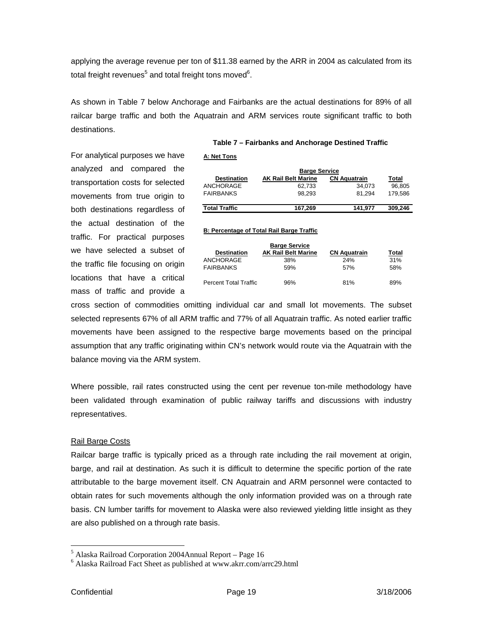applying the average revenue per ton of \$11.38 earned by the ARR in 2004 as calculated from its total freight revenues $^5$  and total freight tons moved $^6$  $^6$ .

As shown in Table 7 below Anchorage and Fairbanks are the actual destinations for 89% of all railcar barge traffic and both the Aquatrain and ARM services route significant traffic to both destinations.

For analytical purposes we have analyzed and compared the transportation costs for selected movements from true origin to both destinations regardless of the actual destination of the traffic. For practical purposes we have selected a subset of the traffic file focusing on origin locations that have a critical mass of traffic and provide a

#### **Table 7 – Fairbanks and Anchorage Destined Traffic**

**A: Net Tons**

| <b>Barge Service</b> |                            |                     |         |  |  |
|----------------------|----------------------------|---------------------|---------|--|--|
| <b>Destination</b>   | <b>AK Rail Belt Marine</b> | <b>CN Aquatrain</b> | Total   |  |  |
| ANCHORAGE            | 62.733                     | 34.073              | 96.805  |  |  |
| <b>FAIRBANKS</b>     | 98.293                     | 81.294              | 179.586 |  |  |
|                      |                            |                     |         |  |  |
| <b>Total Traffic</b> | 167.269                    | 141.977             | 309.246 |  |  |

#### **B: Percentage of Total Rail Barge Traffic**

|                       | <b>Barge Service</b>       |                     |       |
|-----------------------|----------------------------|---------------------|-------|
| <b>Destination</b>    | <b>AK Rail Belt Marine</b> | <b>CN Aquatrain</b> | Total |
| ANCHORAGE             | 38%                        | 24%                 | 31%   |
| <b>FAIRBANKS</b>      | 59%                        | 57%                 | 58%   |
| Percent Total Traffic | 96%                        | 81%                 | 89%   |

cross section of commodities omitting individual car and small lot movements. The subset selected represents 67% of all ARM traffic and 77% of all Aquatrain traffic. As noted earlier traffic movements have been assigned to the respective barge movements based on the principal assumption that any traffic originating within CN's network would route via the Aquatrain with the balance moving via the ARM system.

Where possible, rail rates constructed using the cent per revenue ton-mile methodology have been validated through examination of public railway tariffs and discussions with industry representatives.

#### Rail Barge Costs

Railcar barge traffic is typically priced as a through rate including the rail movement at origin, barge, and rail at destination. As such it is difficult to determine the specific portion of the rate attributable to the barge movement itself. CN Aquatrain and ARM personnel were contacted to obtain rates for such movements although the only information provided was on a through rate basis. CN lumber tariffs for movement to Alaska were also reviewed yielding little insight as they are also published on a through rate basis.

 $\overline{a}$ 

<span id="page-18-0"></span><sup>&</sup>lt;sup>5</sup> Alaska Railroad Corporation 2004Annual Report – Page 16  $\frac{6}{5}$  Alaska Railroad East Sheet as published at www.akrr com/s

<span id="page-18-1"></span>Alaska Railroad Fact Sheet as published at www.akrr.com/arrc29.html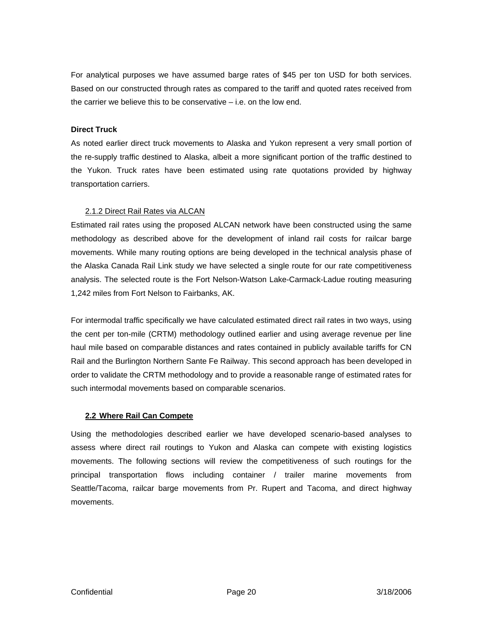<span id="page-19-0"></span>For analytical purposes we have assumed barge rates of \$45 per ton USD for both services. Based on our constructed through rates as compared to the tariff and quoted rates received from the carrier we believe this to be conservative – i.e. on the low end.

#### **Direct Truck**

As noted earlier direct truck movements to Alaska and Yukon represent a very small portion of the re-supply traffic destined to Alaska, albeit a more significant portion of the traffic destined to the Yukon. Truck rates have been estimated using rate quotations provided by highway transportation carriers.

#### 2.1.2 Direct Rail Rates via ALCAN

Estimated rail rates using the proposed ALCAN network have been constructed using the same methodology as described above for the development of inland rail costs for railcar barge movements. While many routing options are being developed in the technical analysis phase of the Alaska Canada Rail Link study we have selected a single route for our rate competitiveness analysis. The selected route is the Fort Nelson-Watson Lake-Carmack-Ladue routing measuring 1,242 miles from Fort Nelson to Fairbanks, AK.

For intermodal traffic specifically we have calculated estimated direct rail rates in two ways, using the cent per ton-mile (CRTM) methodology outlined earlier and using average revenue per line haul mile based on comparable distances and rates contained in publicly available tariffs for CN Rail and the Burlington Northern Sante Fe Railway. This second approach has been developed in order to validate the CRTM methodology and to provide a reasonable range of estimated rates for such intermodal movements based on comparable scenarios.

#### **2.2 Where Rail Can Compete**

Using the methodologies described earlier we have developed scenario-based analyses to assess where direct rail routings to Yukon and Alaska can compete with existing logistics movements. The following sections will review the competitiveness of such routings for the principal transportation flows including container / trailer marine movements from Seattle/Tacoma, railcar barge movements from Pr. Rupert and Tacoma, and direct highway movements.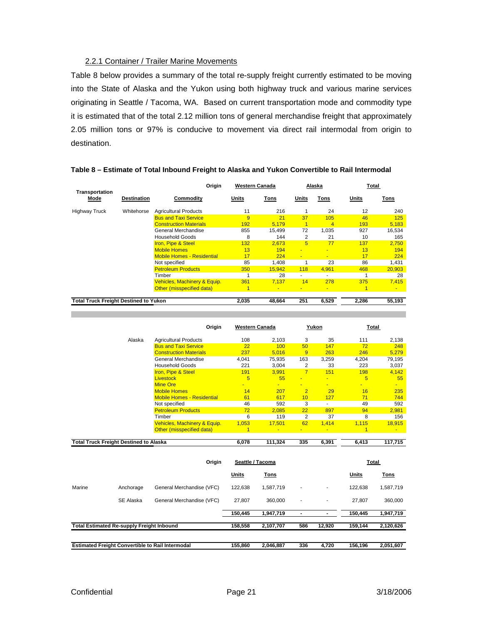#### 2.2.1 Container / Trailer Marine Movements

<span id="page-20-0"></span>Table 8 below provides a summary of the total re-supply freight currently estimated to be moving into the State of Alaska and the Yukon using both highway truck and various marine services originating in Seattle / Tacoma, WA. Based on current transportation mode and commodity type it is estimated that of the total 2.12 million tons of general merchandise freight that approximately 2.05 million tons or 97% is conducive to movement via direct rail intermodal from origin to destination.

|                                              |                    | Origin                            |       | <b>Western Canada</b> |                | Alaska                   |       | Total          |
|----------------------------------------------|--------------------|-----------------------------------|-------|-----------------------|----------------|--------------------------|-------|----------------|
| Transportation<br>Mode                       | <b>Destination</b> | Commodity                         | Units | Tons                  | Units          | Tons                     | Units | Tons           |
| <b>Highway Truck</b>                         | Whitehorse         | <b>Agricultural Products</b>      | 11    | 216                   |                | 24                       | 12    | 240            |
|                                              |                    | <b>Bus and Taxi Service</b>       | 9     | 21                    | 37             | 10 <sub>5</sub>          | 46    | 125            |
|                                              |                    | <b>Construction Materials</b>     | 192   | 5.179                 | 1              | $\overline{4}$           | 193   | 5,183          |
|                                              |                    | General Merchandise               | 855   | 15.499                | 72             | 1.035                    | 927   | 16.534         |
|                                              |                    | <b>Household Goods</b>            | 8     | 144                   | 2              | 21                       | 10    | 165            |
|                                              |                    | <b>Iron, Pipe &amp; Steel</b>     | 132   | 2.673                 | 5              | 77                       | 137   | 2.750          |
|                                              |                    | <b>Mobile Homes</b>               | 13    | 194                   | ٠              | $\overline{\phantom{a}}$ | 13    | 194            |
|                                              |                    | <b>Mobile Homes - Residential</b> | 17    | 224                   | $\blacksquare$ | $\blacksquare$           | 17    | 224            |
|                                              |                    | Not specified                     | 85    | 1.408                 |                | 23                       | 86    | 1.431          |
|                                              |                    | <b>Petroleum Products</b>         | 350   | 15.942                | 118            | 4,961                    | 468   | 20,903         |
|                                              |                    | Timber                            |       | 28                    | ٠              | $\sim$                   | 4     | 28             |
|                                              |                    | Vehicles, Machinery & Equip.      | 361   | 7.137                 | 14             | 278                      | 375   | 7.415          |
|                                              |                    | Other (misspecified data)         | 1     | ٠                     |                | $\blacksquare$           | 1     | $\blacksquare$ |
| <b>Total Truck Freight Destined to Yukon</b> |                    |                                   | 2,035 | 48,664                | 251            | 6,529                    | 2,286 | 55,193         |

#### **Table 8 – Estimate of Total Inbound Freight to Alaska and Yukon Convertible to Rail Intermodal**

|        | Origin                                        | <b>Western Canada</b> |                 |                 | Yukon          | <b>Total</b>             |                 |
|--------|-----------------------------------------------|-----------------------|-----------------|-----------------|----------------|--------------------------|-----------------|
| Alaska | <b>Agricultural Products</b>                  | 108                   | 2,103           | 3               | 35             | 111                      | 2,138           |
|        | <b>Bus and Taxi Service</b>                   | 22                    | 100             | 50 <sup>°</sup> | 147            | 72                       | 248             |
|        | <b>Construction Materials</b>                 | 237                   | 5,016           | 9               | 263            | 246                      | 5,279           |
|        | General Merchandise<br><b>Household Goods</b> | 4,041<br>221          | 75,935<br>3.004 | 163<br>2        | 3,259<br>33    | 4,204<br>223             | 79,195<br>3,037 |
|        | Iron, Pipe & Steel                            | 191                   | 3.991           | 7               | 151            | 198                      | 4,142           |
|        | <b>Livestock</b>                              | 5                     | 55              | -               | ÷              | 5                        | 55              |
|        | <b>Mine Ore</b>                               |                       | $\blacksquare$  |                 |                | $\overline{\phantom{a}}$ | $\sim$          |
|        | <b>Mobile Homes</b>                           | 14                    | 207             | $\overline{2}$  | 29             | 16                       | 235             |
|        | <b>Mobile Homes - Residential</b>             | 61                    | 617             | 10 <sup>1</sup> | 127            | 71                       | 744             |
|        | Not specified                                 | 46                    | 592             | 3               | ٠              | 49                       | 592             |
|        | <b>Petroleum Products</b>                     | 72                    | 2.085           | 22              | 897            | 94                       | 2,981           |
|        | Timber                                        | 6                     | 119             | 2               | 37             | 8                        | 156             |
|        | Vehicles, Machinery & Equip.                  | 1,053                 | 17,501          | 62              | 1,414          | 1,115                    | 18,915          |
|        | Other (misspecified data)                     |                       | $\blacksquare$  | ÷               | $\blacksquare$ | 1                        | $\blacksquare$  |
|        | <b>Total Truck Freight Destined to Alaska</b> |                       | 111,324         | 335             | 6,391          | 6,413                    | 117,715         |

|                                                         |           | Origin                    | Seattle / Tacoma |             |                          |                | Total     |             |  |
|---------------------------------------------------------|-----------|---------------------------|------------------|-------------|--------------------------|----------------|-----------|-------------|--|
|                                                         |           |                           | Units            | <b>Tons</b> |                          |                | Units     | <b>Tons</b> |  |
| Marine                                                  | Anchorage | General Merchandise (VFC) | 122.638          | 1,587,719   | ۰                        |                | 122.638   | 1,587,719   |  |
|                                                         | SE Alaska | General Merchandise (VFC) | 27.807           | 360,000     | ۰                        | $\blacksquare$ | 27.807    | 360,000     |  |
|                                                         |           |                           | 150,445          | 1,947,719   | $\overline{\phantom{0}}$ |                | 150,445   | 1,947,719   |  |
| <b>Total Estimated Re-supply Freight Inbound</b>        |           | 158,558                   | 2,107,707        | 586         | 12,920                   | 159.144        | 2,120,626 |             |  |
|                                                         |           |                           |                  |             |                          |                |           |             |  |
| <b>Estimated Freight Convertible to Rail Intermodal</b> |           | 155.860                   | 2.046.887        | 336         | 4.720                    | 156.196        | 2,051,607 |             |  |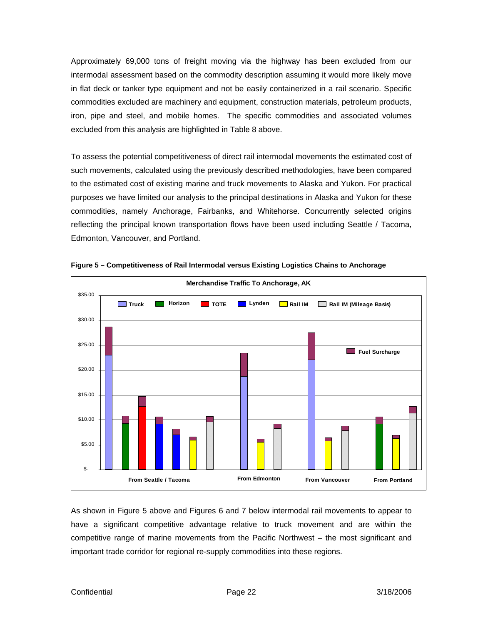Approximately 69,000 tons of freight moving via the highway has been excluded from our intermodal assessment based on the commodity description assuming it would more likely move in flat deck or tanker type equipment and not be easily containerized in a rail scenario. Specific commodities excluded are machinery and equipment, construction materials, petroleum products, iron, pipe and steel, and mobile homes. The specific commodities and associated volumes excluded from this analysis are highlighted in Table 8 above.

To assess the potential competitiveness of direct rail intermodal movements the estimated cost of such movements, calculated using the previously described methodologies, have been compared to the estimated cost of existing marine and truck movements to Alaska and Yukon. For practical purposes we have limited our analysis to the principal destinations in Alaska and Yukon for these commodities, namely Anchorage, Fairbanks, and Whitehorse. Concurrently selected origins reflecting the principal known transportation flows have been used including Seattle / Tacoma, Edmonton, Vancouver, and Portland.



**Figure 5 – Competitiveness of Rail Intermodal versus Existing Logistics Chains to Anchorage**

As shown in Figure 5 above and Figures 6 and 7 below intermodal rail movements to appear to have a significant competitive advantage relative to truck movement and are within the competitive range of marine movements from the Pacific Northwest – the most significant and important trade corridor for regional re-supply commodities into these regions.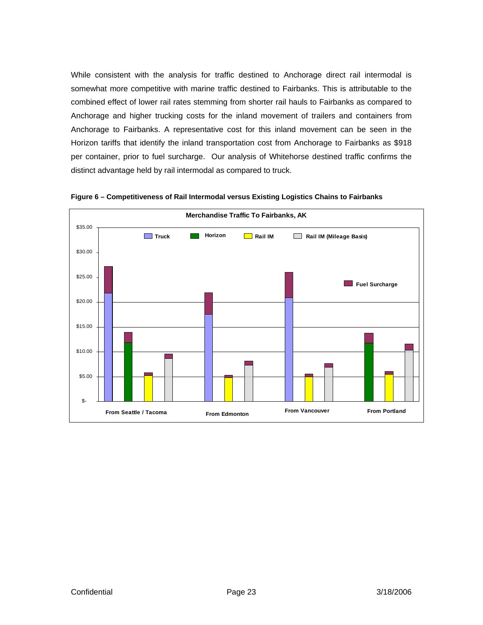While consistent with the analysis for traffic destined to Anchorage direct rail intermodal is somewhat more competitive with marine traffic destined to Fairbanks. This is attributable to the combined effect of lower rail rates stemming from shorter rail hauls to Fairbanks as compared to Anchorage and higher trucking costs for the inland movement of trailers and containers from Anchorage to Fairbanks. A representative cost for this inland movement can be seen in the Horizon tariffs that identify the inland transportation cost from Anchorage to Fairbanks as \$918 per container, prior to fuel surcharge. Our analysis of Whitehorse destined traffic confirms the distinct advantage held by rail intermodal as compared to truck.



**Figure 6 – Competitiveness of Rail Intermodal versus Existing Logistics Chains to Fairbanks**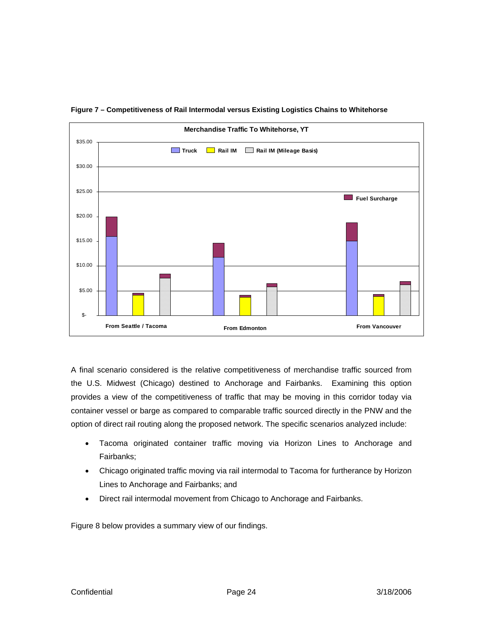

**Figure 7 – Competitiveness of Rail Intermodal versus Existing Logistics Chains to Whitehorse**

A final scenario considered is the relative competitiveness of merchandise traffic sourced from the U.S. Midwest (Chicago) destined to Anchorage and Fairbanks. Examining this option provides a view of the competitiveness of traffic that may be moving in this corridor today via container vessel or barge as compared to comparable traffic sourced directly in the PNW and the option of direct rail routing along the proposed network. The specific scenarios analyzed include:

- Tacoma originated container traffic moving via Horizon Lines to Anchorage and Fairbanks;
- Chicago originated traffic moving via rail intermodal to Tacoma for furtherance by Horizon Lines to Anchorage and Fairbanks; and
- Direct rail intermodal movement from Chicago to Anchorage and Fairbanks.

Figure 8 below provides a summary view of our findings.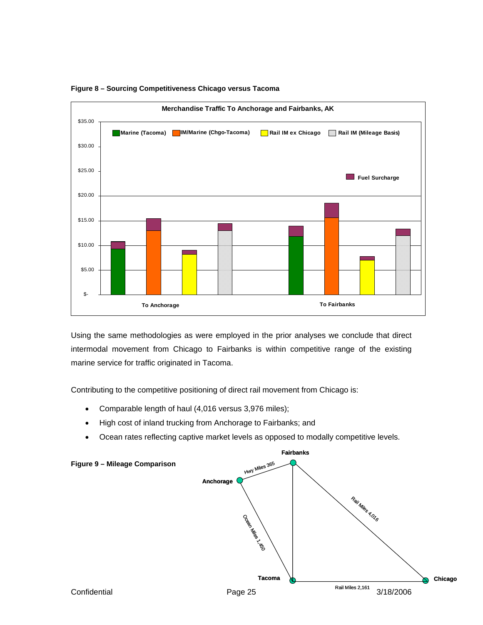

**Figure 8 – Sourcing Competitiveness Chicago versus Tacoma** 

Using the same methodologies as were employed in the prior analyses we conclude that direct intermodal movement from Chicago to Fairbanks is within competitive range of the existing marine service for traffic originated in Tacoma.

Contributing to the competitive positioning of direct rail movement from Chicago is:

- Comparable length of haul (4,016 versus 3,976 miles);
- High cost of inland trucking from Anchorage to Fairbanks; and
- Ocean rates reflecting captive market levels as opposed to modally competitive levels.

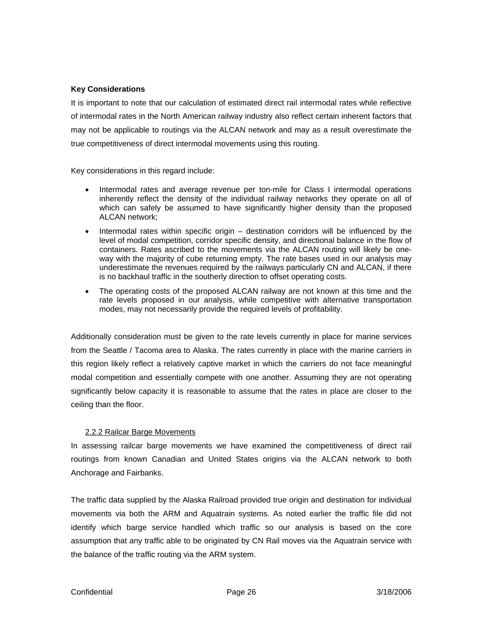#### <span id="page-25-0"></span>**Key Considerations**

It is important to note that our calculation of estimated direct rail intermodal rates while reflective of intermodal rates in the North American railway industry also reflect certain inherent factors that may not be applicable to routings via the ALCAN network and may as a result overestimate the true competitiveness of direct intermodal movements using this routing.

Key considerations in this regard include:

- Intermodal rates and average revenue per ton-mile for Class I intermodal operations inherently reflect the density of the individual railway networks they operate on all of which can safely be assumed to have significantly higher density than the proposed ALCAN network;
- Intermodal rates within specific origin destination corridors will be influenced by the level of modal competition, corridor specific density, and directional balance in the flow of containers. Rates ascribed to the movements via the ALCAN routing will likely be oneway with the majority of cube returning empty. The rate bases used in our analysis may underestimate the revenues required by the railways particularly CN and ALCAN, if there is no backhaul traffic in the southerly direction to offset operating costs.
- The operating costs of the proposed ALCAN railway are not known at this time and the rate levels proposed in our analysis, while competitive with alternative transportation modes, may not necessarily provide the required levels of profitability.

Additionally consideration must be given to the rate levels currently in place for marine services from the Seattle / Tacoma area to Alaska. The rates currently in place with the marine carriers in this region likely reflect a relatively captive market in which the carriers do not face meaningful modal competition and essentially compete with one another. Assuming they are not operating significantly below capacity it is reasonable to assume that the rates in place are closer to the ceiling than the floor.

#### 2.2.2 Railcar Barge Movements

In assessing railcar barge movements we have examined the competitiveness of direct rail routings from known Canadian and United States origins via the ALCAN network to both Anchorage and Fairbanks.

The traffic data supplied by the Alaska Railroad provided true origin and destination for individual movements via both the ARM and Aquatrain systems. As noted earlier the traffic file did not identify which barge service handled which traffic so our analysis is based on the core assumption that any traffic able to be originated by CN Rail moves via the Aquatrain service with the balance of the traffic routing via the ARM system.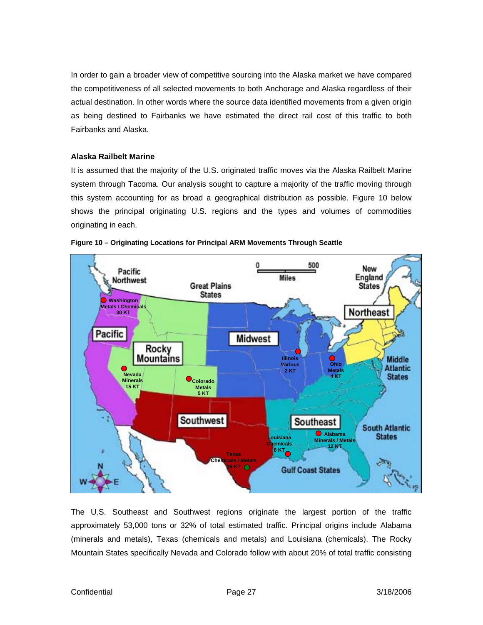In order to gain a broader view of competitive sourcing into the Alaska market we have compared the competitiveness of all selected movements to both Anchorage and Alaska regardless of their actual destination. In other words where the source data identified movements from a given origin as being destined to Fairbanks we have estimated the direct rail cost of this traffic to both Fairbanks and Alaska.

#### **Alaska Railbelt Marine**

It is assumed that the majority of the U.S. originated traffic moves via the Alaska Railbelt Marine system through Tacoma. Our analysis sought to capture a majority of the traffic moving through this system accounting for as broad a geographical distribution as possible. Figure 10 below shows the principal originating U.S. regions and the types and volumes of commodities originating in each.





The U.S. Southeast and Southwest regions originate the largest portion of the traffic approximately 53,000 tons or 32% of total estimated traffic. Principal origins include Alabama (minerals and metals), Texas (chemicals and metals) and Louisiana (chemicals). The Rocky Mountain States specifically Nevada and Colorado follow with about 20% of total traffic consisting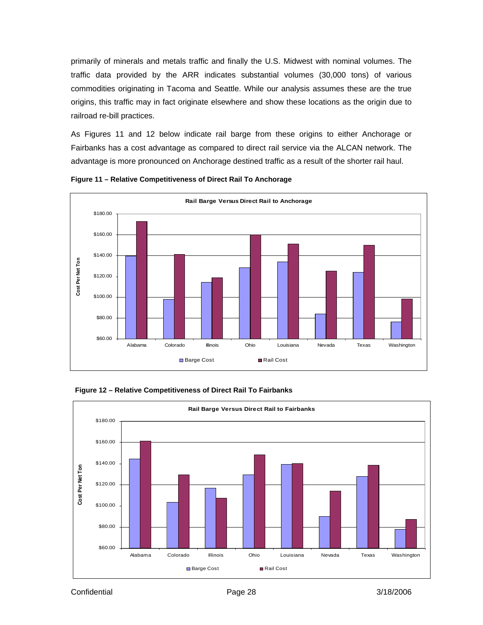primarily of minerals and metals traffic and finally the U.S. Midwest with nominal volumes. The traffic data provided by the ARR indicates substantial volumes (30,000 tons) of various commodities originating in Tacoma and Seattle. While our analysis assumes these are the true origins, this traffic may in fact originate elsewhere and show these locations as the origin due to railroad re-bill practices.

As Figures 11 and 12 below indicate rail barge from these origins to either Anchorage or Fairbanks has a cost advantage as compared to direct rail service via the ALCAN network. The advantage is more pronounced on Anchorage destined traffic as a result of the shorter rail haul.







 **Figure 12 – Relative Competitiveness of Direct Rail To Fairbanks**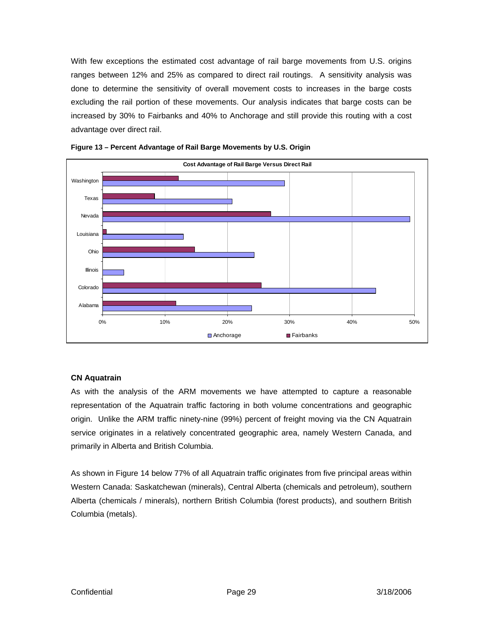With few exceptions the estimated cost advantage of rail barge movements from U.S. origins ranges between 12% and 25% as compared to direct rail routings. A sensitivity analysis was done to determine the sensitivity of overall movement costs to increases in the barge costs excluding the rail portion of these movements. Our analysis indicates that barge costs can be increased by 30% to Fairbanks and 40% to Anchorage and still provide this routing with a cost advantage over direct rail.





#### **CN Aquatrain**

As with the analysis of the ARM movements we have attempted to capture a reasonable representation of the Aquatrain traffic factoring in both volume concentrations and geographic origin. Unlike the ARM traffic ninety-nine (99%) percent of freight moving via the CN Aquatrain service originates in a relatively concentrated geographic area, namely Western Canada, and primarily in Alberta and British Columbia.

As shown in Figure 14 below 77% of all Aquatrain traffic originates from five principal areas within Western Canada: Saskatchewan (minerals), Central Alberta (chemicals and petroleum), southern Alberta (chemicals / minerals), northern British Columbia (forest products), and southern British Columbia (metals).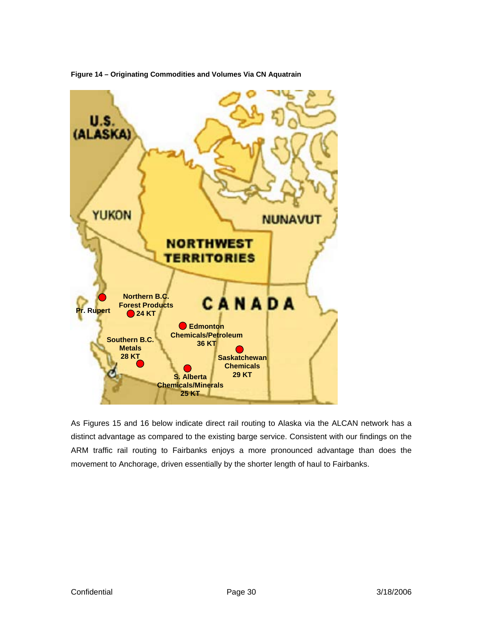

**igure 14 – Originating Commodities and Volumes Via CN Aquatrain F**

As Figures 15 and 16 below indicate direct rail routing to Alaska via the ALCAN network has a distinct advantage as compared to the existing barge service. Consistent with our findings on the ARM traffic rail routing to Fairbanks enjoys a more pronounced advantage than does the movement to Anchorage, driven essentially by the shorter length of haul to Fairbanks.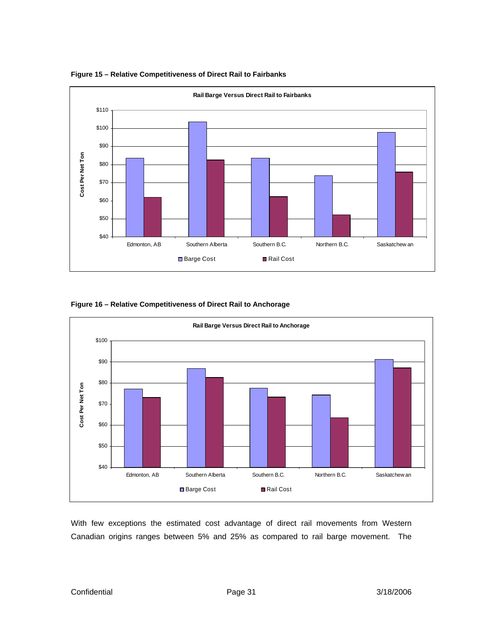

**Figure 15 – Relative Competitiveness of Direct Rail to Fairbanks**

#### **Figure 16 – Relative Competitiveness of Direct Rail to Anchorage**



With few exceptions the estimated cost advantage of direct rail movements from Western Canadian origins ranges between 5% and 25% as compared to rail barge movement. The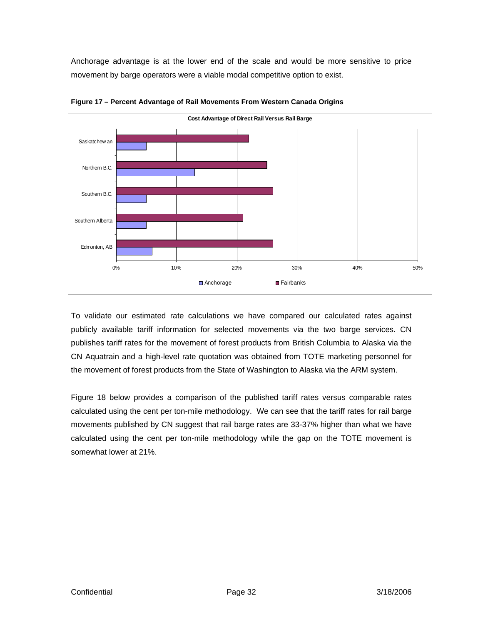Anchorage advantage is at the lower end of the scale and would be more sensitive to price movement by barge operators were a viable modal competitive option to exist.



**Figure 17 – Percent Advantage of Rail Movements From Western Canada Origins**

To validate our estimated rate calculations we have compared our calculated rates against publicly available tariff information for selected movements via the two barge services. CN publishes tariff rates for the movement of forest products from British Columbia to Alaska via the CN Aquatrain and a high-level rate quotation was obtained from TOTE marketing personnel for the movement of forest products from the State of Washington to Alaska via the ARM system.

Figure 18 below provides a comparison of the published tariff rates versus comparable rates calculated using the cent per ton-mile methodology. We can see that the tariff rates for rail barge movements published by CN suggest that rail barge rates are 33-37% higher than what we have calculated using the cent per ton-mile methodology while the gap on the TOTE movement is somewhat lower at 21%.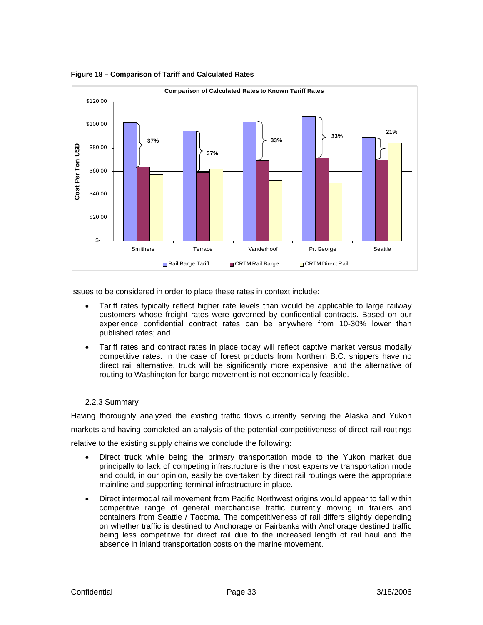

<span id="page-32-0"></span>**Figure 18 – Comparison of Tariff and Calculated Rates** 

Issues to be considered in order to place these rates in context include:

- Tariff rates typically reflect higher rate levels than would be applicable to large railway customers whose freight rates were governed by confidential contracts. Based on our experience confidential contract rates can be anywhere from 10-30% lower than published rates; and
- Tariff rates and contract rates in place today will reflect captive market versus modally competitive rates. In the case of forest products from Northern B.C. shippers have no direct rail alternative, truck will be significantly more expensive, and the alternative of routing to Washington for barge movement is not economically feasible.

#### 2.2.3 Summary

Having thoroughly analyzed the existing traffic flows currently serving the Alaska and Yukon markets and having completed an analysis of the potential competitiveness of direct rail routings relative to the existing supply chains we conclude the following:

- Direct truck while being the primary transportation mode to the Yukon market due principally to lack of competing infrastructure is the most expensive transportation mode and could, in our opinion, easily be overtaken by direct rail routings were the appropriate mainline and supporting terminal infrastructure in place.
- Direct intermodal rail movement from Pacific Northwest origins would appear to fall within competitive range of general merchandise traffic currently moving in trailers and containers from Seattle / Tacoma. The competitiveness of rail differs slightly depending on whether traffic is destined to Anchorage or Fairbanks with Anchorage destined traffic being less competitive for direct rail due to the increased length of rail haul and the absence in inland transportation costs on the marine movement.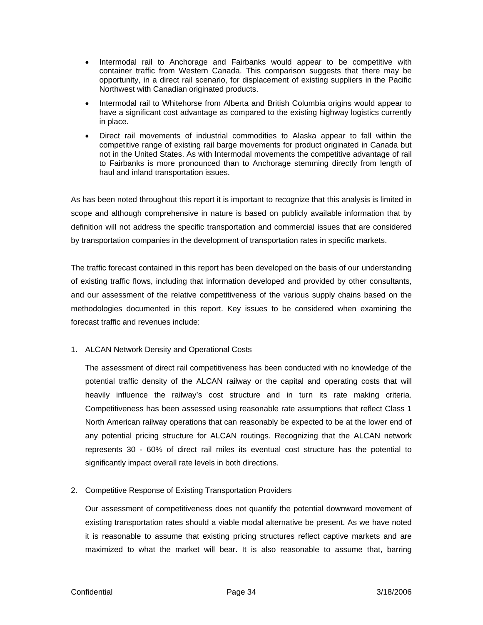- Intermodal rail to Anchorage and Fairbanks would appear to be competitive with container traffic from Western Canada. This comparison suggests that there may be opportunity, in a direct rail scenario, for displacement of existing suppliers in the Pacific Northwest with Canadian originated products.
- Intermodal rail to Whitehorse from Alberta and British Columbia origins would appear to have a significant cost advantage as compared to the existing highway logistics currently in place.
- Direct rail movements of industrial commodities to Alaska appear to fall within the competitive range of existing rail barge movements for product originated in Canada but not in the United States. As with Intermodal movements the competitive advantage of rail to Fairbanks is more pronounced than to Anchorage stemming directly from length of haul and inland transportation issues.

As has been noted throughout this report it is important to recognize that this analysis is limited in scope and although comprehensive in nature is based on publicly available information that by definitio n will not address the specific transportation and commercial issues that are considered by transportation companies in the development of transportation rates in specific markets.

The traf fic forecast contained in this report has been developed on the basis of our understanding of existi ng traffic flows, including that information developed and provided by other consultants, and our assessment of the relative competitiveness of the various supply chains based on the methodol ogies documented in this report. Key issues to be considered when examining the forecast traffic and revenues include:

1. ALCAN Network Density and Operational Costs

The assessment of direct rail competitiveness has been conducted with no knowledge of the potential traffic density of the ALCAN railway or the capital and operating costs that will heavily influence the railway's cost structure and in turn its rate making criteria. Com petitiveness has been assessed using reasonable rate assumptions that reflect Class 1 Nor th American railway operations that can reasonably be expected to be at the lower end of any potential pricing structure for ALCAN routings. Recognizing that the ALCAN network represents 30 - 60% of direct rail miles its eventual cost structure has the potential to significantly impact overall rate levels in both directions.

2. Competitive Response of Existing Transportation Providers

Our assessment of competitiveness does not quantify the potential downward movement of existing transportation rates should a viable modal alternative be present. As we have noted it is reasonable to assume that existing pricing structures reflect captive markets and are maximized to what the market will bear. It is also reasonable to assume that, barring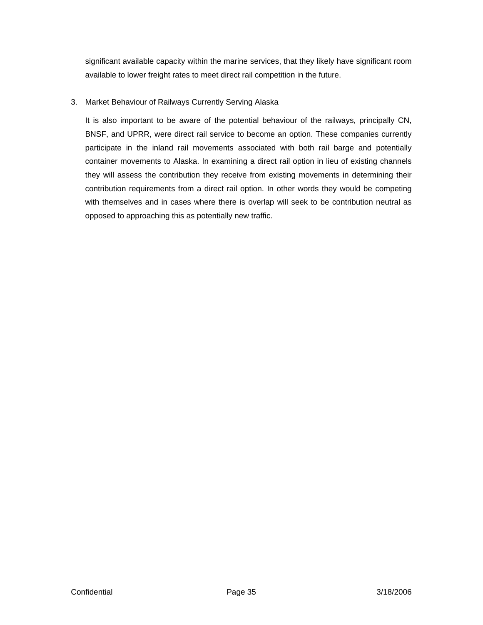significant available capacity within the marine services, that they likely have significant room available to lower freight rates to meet direct rail competition in the future.

#### 3. Market Behaviour of Railways Currently Serving Alaska

It is also important to be aware of the potential behaviour of the railways, principally CN, BNSF, and UPRR, were direct rail service to become an option. These companies currently participate in the inland rail movements associated with both rail barge and potentially container movements to Alaska. In examining a direct rail option in lieu of existing channels they will assess the contribution they receive from existing movements in determining their contribution requirements from a direct rail option. In other words they would be competing with themselves and in cases where there is overlap will seek to be contribution neutral as opposed to approaching this as potentially new traffic.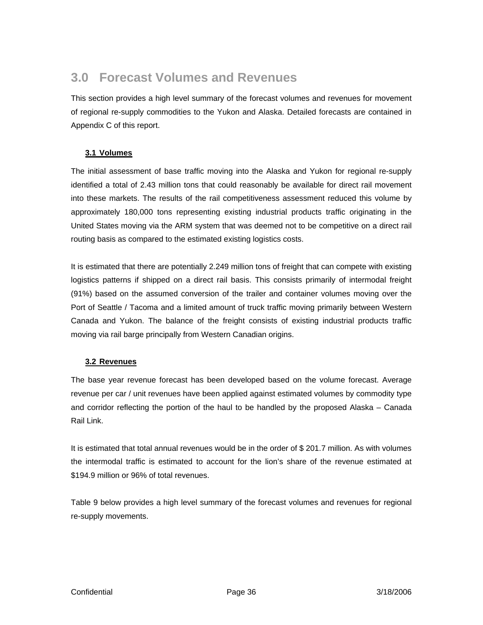### <span id="page-35-0"></span>**3.0 Forecast Volumes and Revenues**

This section provides a high level summary of the forecast volumes and revenues for movement of regional re-supply commodities to the Yukon and Alaska. Detailed forecasts are contained in Appendix C of this report.

#### **3.1 Volumes**

The initial assessment of base traffic moving into the Alaska and Yukon for regional re-supply identified a total of 2.43 million tons that could reasonably be available for direct rail movement into these markets. The results of the rail competitiveness assessment reduced this volume by approximately 180,000 tons representing existing industrial products traffic originating in the United States moving via the ARM system that was deemed not to be competitive on a direct rail routing basis as compared to the estimated existing logistics costs.

It is estimated that there are potentially 2.249 million tons of freight that can compete with existing logistics patterns if shipped on a direct rail basis. This consists primarily of intermodal freight (91%) based on the assumed conversion of the trailer and container volumes moving over the Port of Seattle / Tacoma and a limited amount of truck traffic moving primarily between Western Canada and Yukon. The balance of the freight consists of existing industrial products traffic moving via rail barge principally from Western Canadian origins.

#### **3.2 Revenues**

The base year revenue forecast has been developed based on the volume forecast. Average revenue per car / unit revenues have been applied against estimated volumes by commodity type and corridor reflecting the portion of the haul to be handled by the proposed Alaska – Canada Rail Link.

It is estimated that total annual revenues would be in the order of \$ 201.7 million. As with volumes the intermodal traffic is estimated to account for the lion's share of the revenue estimated at \$194.9 million or 96% of total revenues.

Table 9 below provides a high level summary of the forecast volumes and revenues for regional re-supply movements.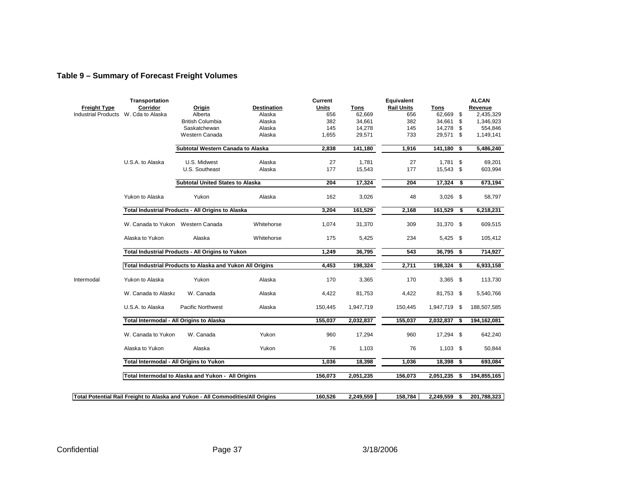### **Table 9 – Summary of Forecast Freight Volumes**

|                            | Transportation                                                                 |                                                           |                    | Current      |                  | Equivalent        |                  |                             | <b>ALCAN</b>         |
|----------------------------|--------------------------------------------------------------------------------|-----------------------------------------------------------|--------------------|--------------|------------------|-------------------|------------------|-----------------------------|----------------------|
| <b>Freight Type</b>        | Corridor                                                                       | <b>Origin</b>                                             | <b>Destination</b> | <b>Units</b> | <b>Tons</b>      | <b>Rail Units</b> | <b>Tons</b>      |                             | Revenue              |
| <b>Industrial Products</b> | W. Cda to Alaska                                                               | Alberta                                                   | Alaska             | 656          | 62.669           | 656               | 62,669           | \$                          | 2,435,329            |
|                            |                                                                                | <b>British Columbia</b><br>Saskatchewan                   | Alaska<br>Alaska   | 382<br>145   | 34,661<br>14,278 | 382<br>145        | 34,661<br>14,278 | \$<br>\$                    | 1,346,923<br>554,846 |
|                            |                                                                                | Western Canada                                            | Alaska             | 1,655        | 29,571           | 733               | 29,571 \$        |                             | 1,149,141            |
|                            |                                                                                |                                                           |                    |              |                  |                   |                  |                             |                      |
|                            |                                                                                | Subtotal Western Canada to Alaska                         |                    | 2,838        | 141,180          | 1,916             | 141,180          | $\overline{\boldsymbol{s}}$ | 5,486,240            |
|                            | U.S.A. to Alaska                                                               | U.S. Midwest                                              | Alaska             | 27           | 1,781            | 27                | 1,781            | \$                          | 69,201               |
|                            |                                                                                | U.S. Southeast                                            | Alaska             | 177          | 15,543           | 177               | 15,543 \$        |                             | 603,994              |
|                            |                                                                                | <b>Subtotal United States to Alaska</b>                   |                    | 204          | 17,324           | 204               | 17,324           | \$                          | 673,194              |
|                            |                                                                                |                                                           |                    |              |                  |                   |                  |                             |                      |
|                            | Yukon to Alaska                                                                | Yukon                                                     | Alaska             | 162          | 3,026            | 48                | $3,026$ \$       |                             | 58,797               |
|                            |                                                                                | Total Industrial Products - All Origins to Alaska         |                    | 3,204        | 161,529          | 2,168             | 161,529          | \$                          | 6,218,231            |
|                            | W. Canada to Yukon Western Canada                                              |                                                           | Whitehorse         | 1,074        | 31,370           | 309               | 31,370 \$        |                             | 609,515              |
|                            | Alaska to Yukon                                                                | Alaska                                                    | Whitehorse         | 175          | 5,425            | 234               | $5,425$ \$       |                             | 105,412              |
|                            |                                                                                | Total Industrial Products - All Origins to Yukon          |                    | 1,249        | 36,795           | 543               | 36,795           | \$                          | 714,927              |
|                            |                                                                                |                                                           |                    |              |                  |                   |                  |                             |                      |
|                            |                                                                                | Total Industrial Products to Alaska and Yukon All Origins |                    | 4,453        | 198,324          | 2,711             | 198,324 \$       |                             | 6,933,158            |
| Intermodal                 | Yukon to Alaska                                                                | Yukon                                                     | Alaska             | 170          | 3,365            | 170               | $3,365$ \$       |                             | 113,730              |
|                            | W. Canada to Alaska                                                            | W. Canada                                                 | Alaska             | 4,422        | 81,753           | 4,422             | 81,753 \$        |                             | 5,540,766            |
|                            | U.S.A. to Alaska                                                               | Pacific Northwest                                         | Alaska             | 150,445      | 1,947,719        | 150,445           | 1,947,719 \$     |                             | 188,507,585          |
|                            | Total Intermodal - All Origins to Alaska                                       |                                                           |                    | 155,037      | 2,032,837        | 155,037           | 2,032,837        | \$                          | 194,162,081          |
|                            | W. Canada to Yukon                                                             | W. Canada                                                 | Yukon              | 960          | 17,294           | 960               | 17,294 \$        |                             | 642,240              |
|                            | Alaska to Yukon                                                                | Alaska                                                    | Yukon              | 76           | 1,103            | 76                | $1,103$ \$       |                             | 50,844               |
|                            | Total Intermodal - All Origins to Yukon                                        |                                                           |                    | 1,036        | 18,398           | 1,036             | 18,398           | \$                          | 693,084              |
|                            |                                                                                | Total Intermodal to Alaska and Yukon - All Origins        |                    | 156,073      | 2,051,235        | 156,073           | 2,051,235        | \$                          | 194,855,165          |
|                            |                                                                                |                                                           |                    |              |                  |                   |                  |                             |                      |
|                            | Total Potential Rail Freight to Alaska and Yukon - All Commodities/All Origins |                                                           |                    | 160,526      | 2,249,559        | 158,784           | 2,249,559        | \$                          | 201,788,323          |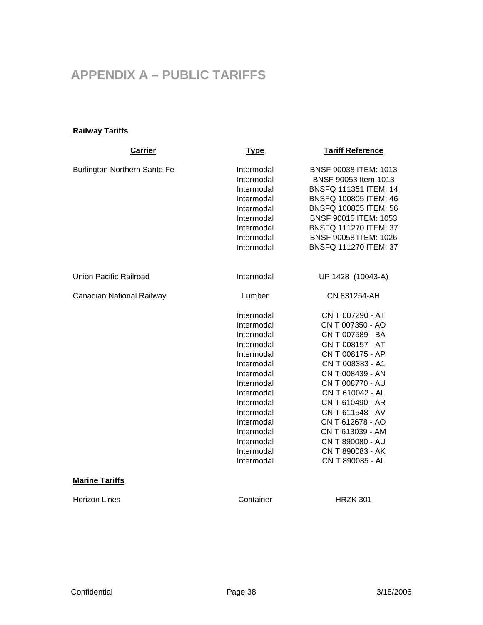# <span id="page-37-0"></span>**APPENDIX A – PUBLIC TARIFFS**

### **Railway Tariffs**

| <b>Carrier</b>                      | <b>Type</b>                                                                                                                                                                                                                  | <b>Tariff Reference</b>                                                                                                                                                                                                                                                                                                      |
|-------------------------------------|------------------------------------------------------------------------------------------------------------------------------------------------------------------------------------------------------------------------------|------------------------------------------------------------------------------------------------------------------------------------------------------------------------------------------------------------------------------------------------------------------------------------------------------------------------------|
| <b>Burlington Northern Sante Fe</b> | Intermodal<br>Intermodal<br>Intermodal<br>Intermodal<br>Intermodal<br>Intermodal<br>Intermodal<br>Intermodal<br>Intermodal                                                                                                   | BNSF 90038 ITEM: 1013<br>BNSF 90053 Item 1013<br>BNSFQ 111351 ITEM: 14<br>BNSFQ 100805 ITEM: 46<br>BNSFQ 100805 ITEM: 56<br>BNSF 90015 ITEM: 1053<br>BNSFQ 111270 ITEM: 37<br>BNSF 90058 ITEM: 1026<br>BNSFQ 111270 ITEM: 37                                                                                                 |
| Union Pacific Railroad              | Intermodal                                                                                                                                                                                                                   | UP 1428 (10043-A)                                                                                                                                                                                                                                                                                                            |
| Canadian National Railway           | Lumber                                                                                                                                                                                                                       | CN 831254-AH                                                                                                                                                                                                                                                                                                                 |
|                                     | Intermodal<br>Intermodal<br>Intermodal<br>Intermodal<br>Intermodal<br>Intermodal<br>Intermodal<br>Intermodal<br>Intermodal<br>Intermodal<br>Intermodal<br>Intermodal<br>Intermodal<br>Intermodal<br>Intermodal<br>Intermodal | CN T 007290 - AT<br>CN T 007350 - AO<br>CN T 007589 - BA<br>CN T 008157 - AT<br>CN T 008175 - AP<br>CN T 008383 - A1<br>CN T 008439 - AN<br>CN T 008770 - AU<br>CN T 610042 - AL<br>CN T 610490 - AR<br>CN T 611548 - AV<br>CN T 612678 - AO<br>CN T 613039 - AM<br>CN T 890080 - AU<br>CN T 890083 - AK<br>CN T 890085 - AL |
| <b>Marine Tariffs</b>               |                                                                                                                                                                                                                              |                                                                                                                                                                                                                                                                                                                              |
| <b>Horizon Lines</b>                | Container                                                                                                                                                                                                                    | <b>HRZK 301</b>                                                                                                                                                                                                                                                                                                              |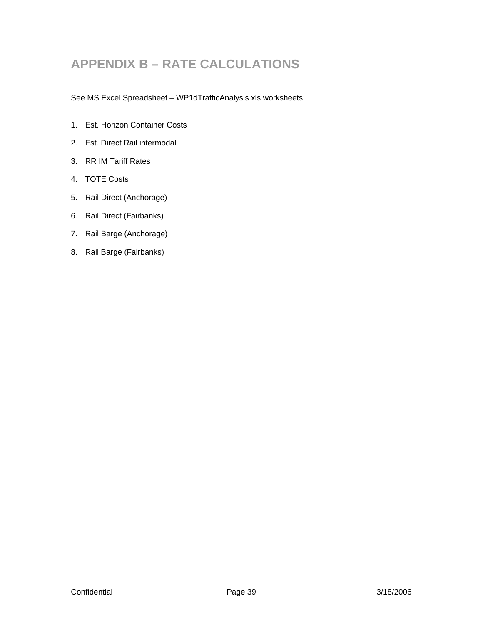# <span id="page-38-0"></span>**APPENDIX B – RATE CALCULATIONS**

See MS Excel Spreadsheet – WP1dTrafficAnalysis.xls worksheets:

- 1. Est. Horizon Container Costs
- 2. Est. Direct Rail intermodal
- 3. RR IM Tariff Rates
- 4. TOTE Costs
- 5. Rail Direct (Anchorage)
- 6. Rail Direct (Fairbanks)
- 7. Rail Barge (Anchorage)
- 8. Rail Barge (Fairbanks)